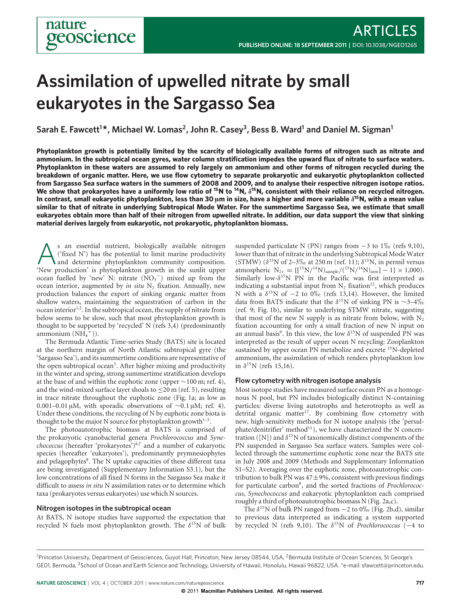# **Assimilation of upwelled nitrate by small eukaryotes in the Sargasso Sea**

 $\mathsf{Sarah}\ \mathsf{E.}\ \mathsf{Fawcett}^{1\bigstar}$ , Michael W. Lomas<sup>2</sup>, John R. Casey<sup>3</sup>, Bess B. Ward<sup>1</sup> and Daniel M. Sigman<sup>1</sup>

**Phytoplankton growth is potentially limited by the scarcity of biologically available forms of nitrogen such as nitrate and ammonium. In the subtropical ocean gyres, water column stratification impedes the upward flux of nitrate to surface waters. Phytoplankton in these waters are assumed to rely largely on ammonium and other forms of nitrogen recycled during the breakdown of organic matter. Here, we use flow cytometry to separate prokaryotic and eukaryotic phytoplankton collected from Sargasso Sea surface waters in the summers of 2008 and 2009, and to analyse their respective nitrogen isotope ratios. We show that prokaryotes have a uniformly low ratio of 15N to 14N,** *δ***15N, consistent with their reliance on recycled nitrogen. In contrast, small eukaryotic phytoplankton, less than 30** μ**m in size, have a higher and more variable** *δ***15N, with a mean value similar to that of nitrate in underlying Subtropical Mode Water. For the summertime Sargasso Sea, we estimate that small eukaryotes obtain more than half of their nitrogen from upwelled nitrate. In addition, our data support the view that sinking material derives largely from eukaryotic, not prokaryotic, phytoplankton biomass.**

As an essential nutrient, biologically available nitrogen<br>
('fixed N') has the potential to limit marine productivity<br>
and determine phytoplankton community composition.<br>
New production' is phytoplankton growth in the sunl ('fixed N') has the potential to limit marine productivity 'New production' is phytoplankton growth in the sunlit upper ocean fuelled by 'new' N: nitrate  $(NO<sub>3</sub><sup>-</sup>)$  mixed up from the ocean interior, augmented by *in situ* N<sub>2</sub> fixation. Annually, new production balances the export of sinking organic matter from shallow waters, maintaining the sequestration of carbon in the ocean interior<sup>1,2</sup>. In the subtropical ocean, the supply of nitrate from below seems to be slow, such that most phytoplankton growth is thought to be supported by 'recycled' N (refs 3,4) (predominantly ammonium  $(NH_4^+))$ .

The Bermuda Atlantic Time-series Study (BATS) site is located at the northern margin of North Atlantic subtropical gyre (the 'Sargasso Sea'), and its summertime conditions are representative of the open subtropical ocean<sup>5</sup>. After higher mixing and productivity in the winter and spring, strong summertime stratification develops at the base of and within the euphotic zone (upper ∼100 m; ref. 4), and the wind-mixed surface layer shoals to  $\leq$ 20 m (ref. 5), resulting in trace nitrate throughout the euphotic zone (Fig. 1a; as low as 0.001–0.01 μM, with sporadic observations of ~0.1 μM; ref. 4). Under these conditions, the recycling of N by euphotic zone biota is thought to be the major N source for phytoplankton growth $1-3$ .

The photoautotrophic biomass at BATS is comprised of the prokaryotic cyanobacterial genera *Prochlorococcus* and *Synechococcus* (hereafter 'prokaryotes')6,7 and a number of eukaryotic species (hereafter 'eukaryotes'), predominantly prymnesiophytes and pelagophytes<sup>8</sup>. The N uptake capacities of these different taxa are being investigated (Supplementary Information S3.1), but the low concentrations of all fixed N forms in the Sargasso Sea make it difficult to assess *in situ* N assimilation rates or to determine which taxa (prokaryotes versus eukaryotes) use which N sources.

# **Nitrogen isotopes in the subtropical ocean**

At BATS, N isotope studies have supported the expectation that recycled N fuels most phytoplankton growth. The  $\delta^{15}N$  of bulk

suspended particulate N (PN) ranges from  $-3$  to  $1\%$  (refs 9,10), lower than that of nitrate in the underlying Subtropical Mode Water (STMW)  $(\delta^{15}N \text{ of } 2-3\%_{0} \text{ at } 250 \text{ m (ref. 11)}; \delta^{15}N, \text{ in permil versus } 1.888)$ atmospheric  $N_2$ , = {[<sup>15</sup>N/<sup>14</sup>N)<sub>sample</sub>/(<sup>15</sup>N/<sup>14</sup>N)<sub>atm</sub>] - 1} × 1,000). Similarly low- $\delta^{15}N$  PN in the Pacific was first interpreted as indicating a substantial input from  $N_2$  fixation<sup>12</sup>, which produces N with a  $\delta^{15}$ N of −2 to 0‰ (refs 13,14). However, the limited data from BATS indicate that the  $\delta^{15}N$  of sinking PN is ∼3–4‰ (ref. 9; Fig. 1b), similar to underlying STMW nitrate, suggesting that most of the new N supply is as nitrate from below, with  $N_2$ fixation accounting for only a small fraction of new N input on an annual basis<sup>9</sup>. In this view, the low  $\delta^{15}N$  of suspended PN was interpreted as the result of upper ocean N recycling: Zooplankton sustained by upper ocean PN metabolize and excrete <sup>15</sup>N-depleted ammonium, the assimilation of which renders phytoplankton low in  $δ<sup>15</sup>N$  (refs 15,16).

# **Flow cytometry with nitrogen isotope analysis**

Most isotope studies have measured surface ocean PN as a homogenous N pool, but PN includes biologically distinct N-containing particles: diverse living autotrophs and heterotrophs as well as detrital organic matter<sup>17</sup>. By combining flow cytometry with new, high-sensitivity methods for N isotope analysis (the 'persulphate/denitrifier' method<sup>11</sup>), we have characterized the N concentration ([N]) and  $\delta^{15}N$  of taxonomically distinct components of the PN suspended in Sargasso Sea surface waters. Samples were collected through the summertime euphotic zone near the BATS site in July 2008 and 2009 (Methods and Supplementary Information S1–S2). Averaging over the euphotic zone, photoautotrophic contribution to bulk PN was  $47\pm9$ %, consistent with previous findings for particulate carbon8, and the sorted fractions of *Prochlorococcus*, *Synechococcus* and eukaryotic phytoplankton each comprised roughly a third of photoautotrophic biomass N (Fig. 2a,c).

The  $\delta^{15}$ N of bulk PN ranged from  $-2$  to 0‰ (Fig. 2b,d), similar to previous data interpreted as indicating a system supported by recycled N (refs 9,10). The δ15N of *Prochlorococcus* (−4 to

<sup>&</sup>lt;sup>1</sup>Princeton University, Department of Geosciences, Guyot Hall, Princeton, New Jersey 08544, USA, <sup>2</sup>Bermuda Institute of Ocean Sciences, St George's GE01, Bermuda, <sup>3</sup>School of Ocean and Earth Science and Technology, University of Hawaii, Honolulu, Hawaii 96822, USA. \*e-mail: sfawcett@princeton.edu.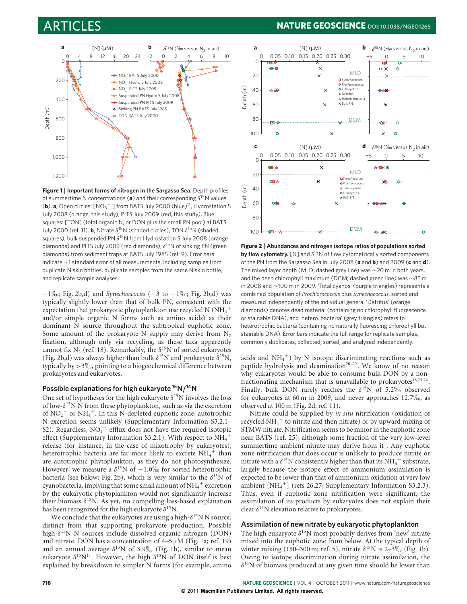

**Figure 1 | Important forms of nitrogen in the Sargasso Sea.** Depth profiles of summertime N concentrations (**a**) and their corresponding  $\delta^{15}$ N values (**b**). **a**, Open circles: [NO<sub>3</sub><sup>−</sup>] from BATS July 2000 (blue)<sup>11</sup>, Hydrostation S July 2008 (orange, this study), PITS July 2009 (red, this study). Blue squares: [TON] (total organic N, or DON plus the small PN pool) at BATS July 2000 (ref. 11). **b**, Nitrate  $\delta^{15}N$  (shaded circles), TON  $\delta^{15}N$  (shaded squares), bulk suspended PN  $\delta^{15}$ N from Hydrostation S July 2008 (orange diamonds) and PITS July 2009 (red diamonds),  $\delta^{15}N$  of sinking PN (green diamonds) from sediment traps at BATS July 1985 (ref. 9). Error bars indicate  $\pm$ 1 standard error of all measurements, including samples from duplicate Niskin bottles, duplicate samples from the same Niskin bottle, and replicate sample analyses.

−1‰; Fig. 2b,d) and *Synechoccocus* (−3 to −1‰; Fig. 2b,d) was typically slightly lower than that of bulk PN, consistent with the expectation that prokaryotic phytoplankton use recycled N (NH $_4^+$ and/or simple organic N forms such as amino acids) as their dominant N source throughout the subtropical euphotic zone. Some amount of the prokaryote N supply may derive from  $N_2$ fixation, although only via recycling, as these taxa apparently cannot fix N<sub>2</sub> (ref. 18). Remarkably, the  $\delta^{15}$ N of sorted eukaryotes (Fig. 2b,d) was always higher than bulk  $\delta^{15}N$  and prokaryote  $\delta^{15}N$ , typically by  $>$  3 $\%$ <sub>0</sub>, pointing to a biogeochemical difference between prokaryotes and eukaryotes.

# **Possible explanations for high eukaryote 15N***/***14N**

One set of hypotheses for the high eukaryote  $\delta^{15}N$  involves the loss of low- $\delta^{15}$ N N from these phytoplankton, such as via the excretion of  $NO_2^-$  or  $NH_4^+$ . In this N-depleted euphotic zone, autotrophic N excretion seems unlikely (Supplementary Information S3.2.1– S2). Regardless,  $NO_2^-$  efflux does not have the required isotopic effect (Supplementary Information S3.2.1). With respect to  $\mathrm{NH}_4^+$ release (for instance, in the case of mixotrophy by eukaryotes), heterotrophic bacteria are far more likely to excrete  $\mathrm{NH}_4^+$  than are autotrophic phytoplankton, as they do not photosynthesize. However, we measure a  $\delta^{15}N$  of  $-1.0\%$  for sorted heterotrophic bacteria (see below; Fig. 2b), which is very similar to the  $\delta^{15}N$  of cyanobacteria, implying that some small amount of NH $_4^+$  excretion by the eukaryotic phytoplankton would not significantly increase their biomass  $\delta^{15}$ N. As yet, no compelling loss-based explanation has been recognized for the high eukaryote  $\delta^{15}$ N.

We conclude that the eukaryotes are using a high- $\delta^{15}N$  N source, distinct from that supporting prokaryote production. Possible high- $\delta^{15}N$  N sources include dissolved organic nitrogen (DON) and nitrate. DON has a concentration of 4–5 μM (Fig. 1a; ref. 19) and an annual average  $\delta^{15}$ N of 3.9\% (Fig. 1b), similar to mean eukaryote  $\delta^{15}N^{11}$ . However, the high  $\delta^{15}N$  of DON itself is best explained by breakdown to simpler N forms (for example, amino

# ARTICLES **NATURE GEOSCIENCE DOI: 10.1038/NGEO1265**



**Figure 2 | Abundances and nitrogen isotope ratios of populations sorted by flow cytometry.** [N] and  $\delta^{15}$ N of flow cytometrically sorted components of the PN from the Sargasso Sea in July 2008 (**a** and **b**) and 2009 (**c** and **d**). The mixed layer depth (MLD; dashed grey line) was ∼20 m in both years, and the deep chlorophyll maximum (DCM; dashed green line) was ∼85 m in 2008 and ∼100 m in 2009. 'Total cyanos' (purple triangles) represents a combined population of *Prochlorococcus* plus *Synechococcus*, sorted and measured independently of the individual genera. 'Detritus' (orange diamonds) denotes dead material (containing no chlorophyll fluorescence or stainable DNA), and 'hetero. bacteria' (grey triangles) refers to heterotrophic bacteria (containing no naturally fluorescing chlorophyll but stainable DNA). Error bars indicate the full range for replicate samples, commonly duplicates, collected, sorted, and analysed independently.

acids and  $NH_4^+$ ) by N isotope discriminating reactions such as peptide hydrolysis and deamination<sup>20–22</sup>. We know of no reason why eukaryotes would be able to consume bulk DON by a nonfractionating mechanism that is unavailable to prokaryotes $18,23,24$ . Finally, bulk DON rarely reaches the  $\delta^{15}N$  of 5.2\% observed for eukaryotes at  $60 \text{ m}$  in 2009, and never approaches  $12.7\%$ <sub>0</sub>, as observed at 100 m (Fig. 2d; ref. 11).

Nitrate could be supplied by *in situ* nitrification (oxidation of recycled NH $_4^+$  to nitrite and then nitrate) or by upward mixing of STMW nitrate. Nitrification seems to be minor in the euphotic zone near BATS (ref. 25), although some fraction of the very low-level summertime ambient nitrate may derive from it<sup>4</sup>. Any euphotic zone nitrification that does occur is unlikely to produce nitrite or nitrate with a  $\delta^{15}N$  consistently higher than that its NH<sub>4</sub><sup>+</sup> substrate, largely because the isotope effect of ammonium assimilation is expected to be lower than that of ammonium oxidation at very low ambient [NH4 <sup>+</sup>] (refs 26,27; Supplementary Information S3.2.3). Thus, even if euphotic zone nitrification were significant, the assimilation of its products by eukaryotes does not explain their clear  $\delta^{15}$ N elevation relative to prokaryotes.

# **Assimilation of new nitrate by eukaryotic phytoplankton**

The high eukaryote  $\delta^{15}N$  most probably derives from 'new' nitrate mixed into the euphotic zone from below. At the typical depth of winter mixing (150–300 m; ref. 5), nitrate  $\delta^{15}$ N is 2–3‰ (Fig. 1b). Owing to isotope discrimination during nitrate assimilation, the  $\delta^{15}$ N of biomass produced at any given time should be lower than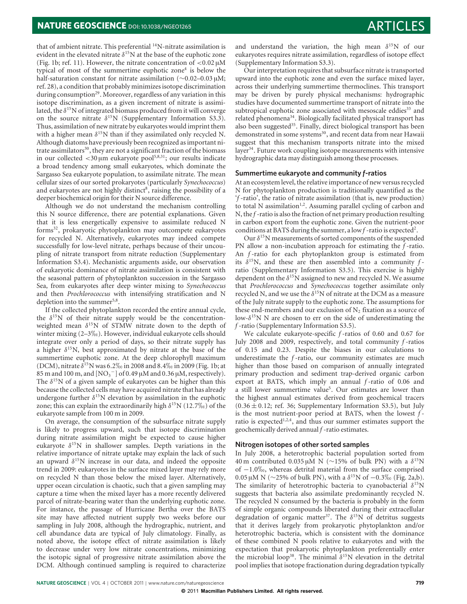that of ambient nitrate. This preferential  $^{14}$ N-nitrate assimilation is evident in the elevated nitrate  $\delta^{15}N$  at the base of the euphotic zone (Fig. 1b; ref. 11). However, the nitrate concentration of  $<$  0.02  $\mu$ M typical of most of the summertime euphotic zone<sup>4</sup> is below the half-saturation constant for nitrate assimilation (∼0.02–0.03 μM; ref. 28), a condition that probably minimizes isotope discrimination during consumption<sup>29</sup>. Moreover, regardless of any variation in this isotope discrimination, as a given increment of nitrate is assimilated, the  $\delta^{15}$ N of integrated biomass produced from it will converge on the source nitrate  $\delta^{15}N$  (Supplementary Information S3.3). Thus, assimilation of new nitrate by eukaryotes would imprint them with a higher mean  $\delta^{15}N$  than if they assimilated only recycled N. Although diatoms have previously been recognized as important nitrate assimilators $30$ , they are not a significant fraction of the biomass in our collected <30 μm eukaryote pool5,8,31; our results indicate a broad tendency among small eukaryotes, which dominate the Sargasso Sea eukaryote population, to assimilate nitrate. The mean cellular sizes of our sorted prokaryotes (particularly *Synechococcus*) and eukaryotes are not highly distinct<sup>8</sup>, raising the possibility of a deeper biochemical origin for their N source difference.

Although we do not understand the mechanism controlling this N source difference, there are potential explanations. Given that it is less energetically expensive to assimilate reduced N forms32, prokaryotic phytoplankton may outcompete eukaryotes for recycled N. Alternatively, eukaryotes may indeed compete successfully for low-level nitrate, perhaps because of their uncoupling of nitrate transport from nitrate reduction (Supplementary Information S3.4). Mechanistic arguments aside, our observation of eukaryotic dominance of nitrate assimilation is consistent with the seasonal pattern of phytoplankton succession in the Sargasso Sea, from eukaryotes after deep winter mixing to *Synechococcus* and then *Prochlorococcus* with intensifying stratification and N depletion into the summer<sup>5,8</sup>.

If the collected phytoplankton recorded the entire annual cycle, the  $\delta^{15}N$  of their nitrate supply would be the concentrationweighted mean  $\delta^{15}N$  of STMW nitrate down to the depth of winter mixing (2–3‰). However, individual eukaryote cells should integrate over only a period of days, so their nitrate supply has a higher  $\delta^{15}$ N, best approximated by nitrate at the base of the summertime euphotic zone. At the deep chlorophyll maximum (DCM), nitrate  $\delta^{15}$ N was 6.2\% in 2008 and 8.4\% in 2009 (Fig. 1b; at 85 m and 100 m, and [NO<sub>3</sub><sup>-</sup>] of 0.49 μM and 0.36 μM, respectively). The  $\delta^{15}$ N of a given sample of eukaryotes can be higher than this because the collected cells may have acquired nitrate that has already undergone further  $\delta^{15}N$  elevation by assimilation in the euphotic zone; this can explain the extraordinarily high  $\delta^{15}$ N (12.7‰) of the eukaryote sample from 100 m in 2009.

On average, the consumption of the subsurface nitrate supply is likely to progress upward, such that isotope discrimination during nitrate assimilation might be expected to cause higher eukaryote  $\delta^{15}N$  in shallower samples. Depth variations in the relative importance of nitrate uptake may explain the lack of such an upward  $\delta^{15}N$  increase in our data, and indeed the opposite trend in 2009: eukaryotes in the surface mixed layer may rely more on recycled N than those below the mixed layer. Alternatively, upper ocean circulation is chaotic, such that a given sampling may capture a time when the mixed layer has a more recently delivered parcel of nitrate-bearing water than the underlying euphotic zone. For instance, the passage of Hurricane Bertha over the BATS site may have affected nutrient supply two weeks before our sampling in July 2008, although the hydrographic, nutrient, and cell abundance data are typical of July climatology. Finally, as noted above, the isotope effect of nitrate assimilation is likely to decrease under very low nitrate concentrations, minimizing the isotopic signal of progressive nitrate assimilation above the DCM. Although continued sampling is required to characterize

and understand the variation, the high mean  $\delta^{15}N$  of our eukaryotes requires nitrate assimilation, regardless of isotope effect (Supplementary Information S3.3).

Our interpretation requires that subsurface nitrate is transported upward into the euphotic zone and even the surface mixed layer, across their underlying summertime thermoclines. This transport may be driven by purely physical mechanisms: hydrographic studies have documented summertime transport of nitrate into the subtropical euphotic zone associated with mesoscale eddies<sup>33</sup> and related phenomena<sup>34</sup>. Biologically facilitated physical transport has also been suggested<sup>35</sup>. Finally, direct biological transport has been demonstrated in some systems<sup>30</sup>, and recent data from near Hawaii suggest that this mechanism transports nitrate into the mixed layer<sup>34</sup>. Future work coupling isotope measurements with intensive hydrographic data may distinguish among these processes.

# **Summertime eukaryote and community** *f***-ratios**

At an ecosystem level, the relative importance of new versus recycled N for phytoplankton production is traditionally quantified as the '*f* -ratio', the ratio of nitrate assimilation (that is, new production) to total N assimilation<sup>1,2</sup>. Assuming parallel cycling of carbon and N, the *f* -ratio is also the fraction of net primary production resulting in carbon export from the euphotic zone. Given the nutrient-poor conditions at BATS during the summer, a low*f* -ratio is expected2.

Our  $\delta^{15}$ N measurements of sorted components of the suspended PN allow a non-incubation approach for estimating the *f* -ratio. An *f* -ratio for each phytoplankton group is estimated from its  $\delta^{15}$ N, and these are then assembled into a community  $f$ ratio (Supplementary Information S3.5). This exercise is highly dependent on the  $\delta^{15}N$  assigned to new and recycled N. We assume that *Prochlorococcus* and *Synechococcus* together assimilate only recycled N, and we use the  $\delta^{15}$ N of nitrate at the DCM as a measure of the July nitrate supply to the euphotic zone. The assumptions for these end-members and our exclusion of  $N_2$  fixation as a source of low- $\delta^{15}$ N N are chosen to err on the side of underestimating the *f* -ratio (Supplementary Information S3.5).

We calculate eukaryote-specific *f* -ratios of 0.60 and 0.67 for July 2008 and 2009, respectively, and total community *f* -ratios of 0.15 and 0.23. Despite the biases in our calculations to underestimate the *f* -ratio, our community estimates are much higher than those based on comparison of annually integrated primary production and sediment trap-derived organic carbon export at BATS, which imply an annual *f* -ratio of 0.06 and a still lower summertime value<sup>5</sup>. Our estimates are lower than the highest annual estimates derived from geochemical tracers  $(0.36 \pm 0.12;$  ref. 36; Supplementary Information S3.5), but July is the most nutrient-poor period at BATS, when the lowest *f* ratio is expected<sup>1,2,4</sup>, and thus our summer estimates support the geochemically derived annual *f* -ratio estimates.

# **Nitrogen isotopes of other sorted samples**

In July 2008, a heterotrophic bacterial population sorted from 40 m contributed 0.035 μM N (∼15% of bulk PN) with a  $\delta^{15}N$ of −1.0‰, whereas detrital material from the surface comprised 0.05 μM N (∼25% of bulk PN), with a  $\delta^{15}$ N of −0.3‰ (Fig. 2a,b). The similarity of heterotrophic bacteria to cyanobacterial  $\delta^{15}N$ suggests that bacteria also assimilate predominantly recycled N. The recycled N consumed by the bacteria is probably in the form of simple organic compounds liberated during their extracellular degradation of organic matter<sup>37</sup>. The  $\delta^{15}N$  of detritus suggests that it derives largely from prokaryotic phytoplankton and/or heterotrophic bacteria, which is consistent with the dominance of these combined N pools relative to eukaryotes and with the expectation that prokaryotic phytoplankton preferentially enter the microbial loop<sup>38</sup>. The minimal  $\delta^{15}N$  elevation in the detrital pool implies that isotope fractionation during degradation typically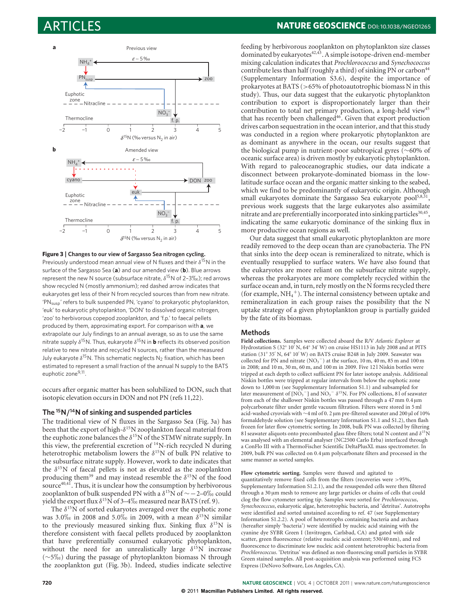

### **Figure 3 | Changes to our view of Sargasso Sea nitrogen cycling.**

Previously understood mean annual view of N fluxes and their  $\delta^{15}N$  in the surface of the Sargasso Sea (**a**) and our amended view (**b**). Blue arrows represent the new N source (subsurface nitrate,  $\delta^{15}$ N of 2-3‰); red arrows show recycled N (mostly ammonium); red dashed arrow indicates that eukaryotes get less of their N from recycled sources than from new nitrate. 'PN<sub>susp</sub>' refers to bulk suspended PN, 'cyano' to prokaryotic phytoplankton, 'euk' to eukaryotic phytoplankton, 'DON' to dissolved organic nitrogen, 'zoo' to herbivorous copepod zooplankton, and 'f.p.' to faecal pellets produced by them, approximating export. For comparison with **a**, we extrapolate our July findings to an annual average, so as to use the same nitrate supply  $\delta^{15}N$ . Thus, eukaryote  $\delta^{15}N$  in **b** reflects its observed position relative to new nitrate and recycled N sources, rather than the measured July eukaryote  $\delta^{15}N$ . This schematic neglects N<sub>2</sub> fixation, which has been estimated to represent a small fraction of the annual N supply to the BATS euphotic zone<sup>9,11</sup>.

occurs after organic matter has been solubilized to DON, such that isotopic elevation occurs in DON and not PN (refs 11,22).

# **The 15N***/***14N of sinking and suspended particles**

The traditional view of N fluxes in the Sargasso Sea (Fig. 3a) has been that the export of high- $\delta^{15}N$  zooplankton faecal material from the euphotic zone balances the  $\delta^{15}N$  of the STMW nitrate supply. In this view, the preferential excretion of  $14$ N-rich recycled N during heterotrophic metabolism lowers the  $\delta^{15}N$  of bulk PN relative to the subsurface nitrate supply. However, work to date indicates that the  $\delta^{15}N$  of faecal pellets is not as elevated as the zooplankton producing them<sup>39</sup> and may instead resemble the  $\delta^{15}N$  of the food source $40,41$ . Thus, it is unclear how the consumption by herbivorous zooplankton of bulk suspended PN with a  $\delta^{15}$ N of ∼−2–0‰ could yield the export flux  $δ^{15}$ N of 3–4‰ measured near BATS (ref. 9).

The  $\delta^{15}N$  of sorted eukaryotes averaged over the euphotic zone was  $3.0\%$  in 2008 and  $5.0\%$  in 2009, with a mean  $\delta^{15}$ N similar to the previously measured sinking flux. Sinking flux  $\delta^{15}N$  is therefore consistent with faecal pellets produced by zooplankton that have preferentially consumed eukaryotic phytoplankton, without the need for an unrealistically large  $\delta^{15}N$  increase (∼5-) during the passage of phytoplankton biomass N through the zooplankton gut (Fig. 3b). Indeed, studies indicate selective

# ARTICLES **NATURE GEOSCIENCE DOI: 10.1038/NGEO1265**

feeding by herbivorous zooplankton on phytoplankton size classes dominated by eukaryotes $42,43$ . A simple isotope-driven end-member mixing calculation indicates that *Prochlorococcus* and *Synechococcus* contribute less than half (roughly a third) of sinking PN or carbon<sup>44</sup> (Supplementary Information S3.6), despite the importance of prokaryotes at BATS (>65% of photoautotrophic biomass N in this study). Thus, our data suggest that the eukaryotic phytoplankton contribution to export is disproportionately larger than their contribution to total net primary production, a long-held view<sup>45</sup> that has recently been challenged $46$ . Given that export production drives carbon sequestration in the ocean interior, and that this study was conducted in a region where prokaryotic phytoplankton are as dominant as anywhere in the ocean, our results suggest that the biological pump in nutrient-poor subtropical gyres (∼60% of oceanic surface area) is driven mostly by eukaryotic phytoplankton. With regard to paleoceanographic studies, our data indicate a disconnect between prokaryote-dominated biomass in the lowlatitude surface ocean and the organic matter sinking to the seabed, which we find to be predominantly of eukaryotic origin. Although small eukaryotes dominate the Sargasso Sea eukaryote pool $5,8,31$ previous work suggests that the large eukaryotes also assimilate nitrate and are preferentially incorporated into sinking particles<sup>30,45</sup>, indicating the same eukaryotic dominance of the sinking flux in more productive ocean regions as well.

Our data suggest that small eukaryotic phytoplankton are more readily removed to the deep ocean than are cyanobacteria. The PN that sinks into the deep ocean is remineralized to nitrate, which is eventually resupplied to surface waters. We have also found that the eukaryotes are more reliant on the subsurface nitrate supply, whereas the prokaryotes are more completely recycled within the surface ocean and, in turn, rely mostly on the N forms recycled there (for example,  $NH_4^+$ ). The internal consistency between uptake and remineralization in each group raises the possibility that the N uptake strategy of a given phytoplankton group is partially guided by the fate of its biomass.

# **Methods**

**Field collections.** Samples were collected aboard the R/V *Atlantic Explorer* at Hydrostation S (32° 10' N, 64° 34' W) on cruise HS1113 in July 2008 and at PITS station (31° 35' N, 64° 10' W) on BATS cruise B248 in July 2009. Seawater was collected for PN and nitrate  $(NO<sub>3</sub><sup>-</sup>)$  at the surface, 10 m, 40 m, 85 m and 100 m in 2008; and 10 m, 30 m, 60 m, and 100 m in 2009. Five 12 l Niskin bottles were tripped at each depth to collect sufficient PN for later isotope analysis. Additional Niskin bottles were tripped at regular intervals from below the euphotic zone down to 1,000 m (see Supplementary Information S1.1) and subsampled for later measurement of  $[NO<sub>3</sub><sup>-</sup>]$  and  $NO<sub>3</sub><sup>-</sup> \delta<sup>15</sup>N$ . For PN collections, 8 l of seawater from each of the shallower Niskin bottles was passed through a 47 mm 0.4 μm polycarbonate filter under gentle vacuum filtration. Filters were stored in 5 ml acid-washed cryovials with ∼4 ml of 0. 2 μm pre-filtered seawater and 200 μl of 10% formaldehyde solution (see Supplementary Information S1.1 and S1.2), then flash frozen for later flow cytometric sorting. In 2008, bulk PN was collected by filtering 8 l seawater aliquots onto precombusted glass fibre filters; total N content and  $\delta^{15}$ N was analysed with an elemental analyser (NC2500 Carlo Erba) interfaced through a ConFlo III with a ThermoFischer Scientific DeltaPlusXL mass spectrometer. In 2009, bulk PN was collected on 0.4 μm polycarbonate filters and processed in the same manner as sorted samples.

**Flow cytometric sorting.** Samples were thawed and agitated to quantitatively remove fixed cells from the filters (recoveries were >95%, Supplementary Information S1.2.1), and the resuspended cells were then filtered through a 30 μm mesh to remove any large particles or chains of cells that could clog the flow cytometer sorting tip. Samples were sorted for *Prochlorococcus*, *Synechococccus*, eukaryotic algae, heterotrophic bacteria, and 'detritus'. Autotrophs were identified and sorted unstained according to ref. 47 (see Supplementary Information S1.2.2). A pool of heterotrophs containing bacteria and archaea (hereafter simply 'bacteria') were identified by nucleic acid staining with the cyanine dye SYBR Green I (Invitrogen, Carlsbad, CA) and gated with side scatter, green fluorescence (relative nucleic acid content; 530/40 nm), and red fluorescence to discriminate low nucleic acid content heterotrophic bacteria from *Prochlorococcus*. 'Detritus' was defined as non-fluorescing small particles in SYBR Green stained samples. All post-acquisition analysis was performed using FCS Express (DeNovo Software, Los Angeles, CA).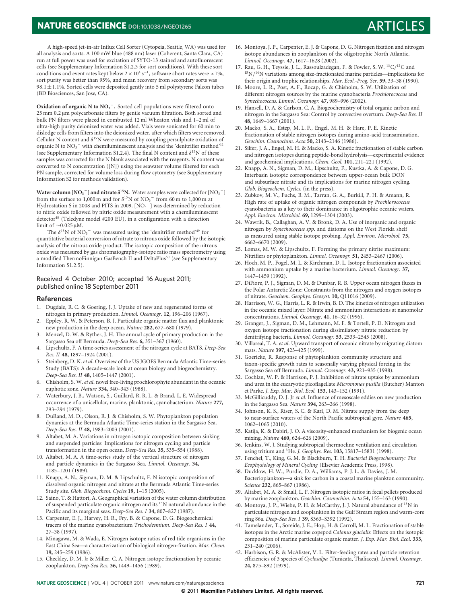# **NATURE GEOSCIENCE** DOI: 10.1038/NGE01265 ARTICLES

### A high-speed jet-in-air Influx Cell Sorter (Cytopeia, Seattle, WA) was used for all analysis and sorts. A 100 mW blue (488 nm) laser (Coherent, Santa Clara, CA) run at full power was used for excitation of SYTO-13 stained and autofluorescent cells (see Supplementary Information S1.2.3 for sort conditions). With these sort conditions and event rates kept below  $2 \times 10^4 \text{ s}^{-1}$ , software abort rates were <1%, sort purity was better than 95%, and mean recovery from secondary sorts was 98.1 $\pm$ 1.1%. Sorted cells were deposited gently into 5 ml polystyrene Falcon tubes (BD Biosciences, San Jose, CA).

**Oxidation of organic N to NO<sub>3</sub><sup>−</sup>.** Sorted cell populations were filtered onto 25 mm 0.2 μm polycarbonate filters by gentle vacuum filtration. Both sorted and bulk PN filters were placed in combusted 12 ml Wheaton vials and 1–2 ml of ultra-high purity deionized water was added. Vials were sonicated for 60 min to dislodge cells from filters into the deionized water, after which filters were removed. Cellular N content and  $\delta^{15}$ N were measured by coupling persulphate oxidation of organic N to  $NO<sub>3</sub><sup>-</sup>$  with chemiluminescent analysis and the 'denitrifier method'<sup>11</sup> (see Supplementary Information S1.2.4). The final N content and  $\delta^{15}N$  of these samples was corrected for the N blank associated with the reagents. N content was converted to N concentration ([N]) using the seawater volume filtered for each PN sample, corrected for volume loss during flow cytometry (see Supplementary Information S2 for methods validation).

**Water column [NO<sub>3</sub><sup>-</sup>] and nitrate**  $\delta^{15}$ **N.** Water samples were collected for [NO<sub>3</sub><sup>-</sup>] from the surface to 1,000 m and for  $\delta^{15}N$  of  $NO<sub>3</sub><sup>-</sup>$  from 60 m to 1,000 m at Hydrostation S in 2008 and PITS in 2009.  $[NO<sub>3</sub><sup>-</sup>]$  was determined by reduction to nitric oxide followed by nitric oxide measurement with a chemiluminescent detector<sup>48</sup> (Teledyne model #200 EU), in a configuration with a detection limit of ∼0.025 μM.

The  $\delta^{15}N$  of  $NO_3^-$  was measured using the 'denitrifier method'<sup>49</sup> for quantitative bacterial conversion of nitrate to nitrous oxide followed by the isotopic analysis of the nitrous oxide product. The isotopic composition of the nitrous oxide was measured by gas chromatography-isotope ratio mass spectrometry using a modified ThermoFinnigan GasBench II and DeltaPlus<sup>50</sup> (see Supplementary Information S1.2.5).

# Received 4 October 2010; accepted 16 August 2011; published online 18 September 2011

### **References**

- 1. Dugdale, R. C. & Goering, J. J. Uptake of new and regenerated forms of nitrogen in primary production. *Limnol. Oceanogr.* **12,** 196–206 (1967).
- 2. Eppley, R. W. & Peterson, B. J. Particulate organic matter flux and planktonic new production in the deep ocean. *Nature* **282,** 677–680 (1979).
- Menzel, D. W. & Ryther, J. H. The annual cycle of primary production in the Sargasso Sea off Bermuda. *Deep-Sea Res.* **6,** 351–367 (1960).
- 4. Lipschultz, F. A time-series assessment of the nitrogen cycle at BATS. *Deep-Sea Res. II* **48,** 1897–1924 (2001).
- 5. Steinberg, D. K. *et al*. Overview of the US JGOFS Bermuda Atlantic Time-series Study (BATS): A decade-scale look at ocean biology and biogeochemistry. *Deep-Sea Res. II* **48,** 1405–1447 (2001).
- 6. Chisholm, S. W. *et al*. novel free-living prochlorophyte abundant in the oceanic euphotic zone. *Nature* **334,** 340–343 (1988).
- 7. Waterbury, J. B., Watson, S., Guillard, R. R. L. & Brand, L. E. Widespread occurrence of a unicellular, marine, planktonic, cyanobacterium. *Nature* **277,** 293–294 (1979).
- 8. DuRand, M. D., Olson, R. J. & Chisholm, S. W. Phytoplankton population dynamics at the Bermuda Atlantic Time-series station in the Sargasso Sea. *Deep-Sea Res. II* **48,** 1983–2003 (2001).
- 9. Altabet, M. A. Variations in nitrogen isotopic composition between sinking and suspended particles: Implications for nitrogen cycling and particle transformation in the open ocean. *Deep-Sea Res.* **35,** 535–554 (1988).
- 10. Altabet, M. A. A time-series study of the vertical structure of nitrogen and particle dynamics in the Sargasso Sea. *Limnol. Oceanogr.* **34,** 1185–1201 (1989).
- 11. Knapp, A. N., Sigman, D. M. & Lipschultz, F. N isotopic composition of dissolved organic nitrogen and nitrate at the Bermuda Atlantic Time-series Study site. *Glob. Biogeochem. Cycles* **19,** 1–15 (2005).
- 12. Saino, T. & Hattori, A. Geographical variation of the water column distribution of suspended particulate organic nitrogen and its 15N natural abundance in the Pacific and its marginal seas. *Deep-Sea Res. I* **34,** 807–827 (1987).
- 13. Carpenter, E. J., Harvey, H. R., Fry, B. & Capone, D. G. Biogeochemical tracers of the marine cyanobacterium *Trichodesmium*. *Deep-Sea Res. I* **44,** 27–38 (1997).
- 14. Minagawa, M. & Wada, E. Nitrogen isotope ratios of red tide organisms in the East China Sea—a characterization of biological nitrogen-fixation. *Mar. Chem.* **19,** 245–259 (1986).
- 15. Checkley, D. M. Jr & Miller, C. A. Nitrogen isotope fractionation by oceanic zooplankton. *Deep-Sea Res.* **36,** 1449–1456 (1989).
- 16. Montoya, J. P., Carpenter, E. J. & Capone, D. G. Nitrogen fixation and nitrogen isotope abundances in zooplankton of the oligotrophic North Atlantic. *Limnol. Oceanogr.* **47,** 1617–1628 (2002).
- 17. Rau, G. H., Teyssie, J. L., Rassoulzadegan, F. & Fowler, S. W.  $\rm ^{13}C/^{12}C$  and  $15N/14N$  variations among size-fractionated marine particles—implications for their origin and trophic relationships. *Mar. Ecol.-Prog. Ser.* **59,** 33–38 (1990).
- 18. Moore, L. R., Post, A. F., Rocap, G. & Chisholm, S. W. Utilization of different nitrogen sources by the marine cyanobacteria *Prochlorococcus* and *Synechococcus*. *Limnol. Oceanogr.* **47,** 989–996 (2002).
- 19. Hansell, D. A. & Carlson, C. A. Biogeochemistry of total organic carbon and nitrogen in the Sargasso Sea: Control by convective overturn. *Deep-Sea Res. II* **48,** 1649–1667 (2001).
- 20. Macko, S. A., Estep, M. L. F., Engel, M. H. & Hare, P. E. Kinetic fractionation of stable nitrogen isotopes during amino-acid transamination. *Geochim. Cosmochim. Acta* **50,** 2143–2146 (1986).
- 21. Silfer, J. A., Engel, M. H. & Macko, S. A. Kinetic fractionation of stable carbon and nitrogen isotopes during peptide-bond hydrolysis—experimental evidence and geochemical implications. *Chem. Geol.* **101,** 211–221 (1992).
- 22. Knapp, A. N., Sigman, D. M., Lipschultz, F., Kustka, A. & Capone, D. G. Interbasin isotopic correspondence between upper-ocean bulk DON and subsurface nitrate and its implications for marine nitrogen cycling. *Glob. Biogeochem. Cycles.* (in the press).
- 23. Zubkov, M. V., Fuchs, B. M., Tarran, G. A., Burkill, P. H. & Amann, R. High rate of uptake of organic nitrogen compounds by *Prochlorococcus* cyanobacteria as a key to their dominance in oligotrophic oceanic waters. *Appl. Environ. Microbiol.* **69,** 1299–1304 (2003).
- 24. Wawrik, B., Callaghan, A. V. & Bronk, D. A. Use of inorganic and organic nitrogen by *Synechococcus spp*. and diatoms on the West Florida shelf as measured using stable isotope probing. *Appl. Environ. Microbiol.* **75,** 6662–6670 (2009).
- 25. Lomas, M. W. & Lipschultz, F. Forming the primary nitrite maximum: Nitrifiers or phytoplankton. *Limnol. Oceanogr.* **51,** 2453–2467 (2006).
- 26. Hoch, M. P., Fogel, M. L. & Kirchman, D. L. Isotope fractionation associated with ammonium uptake by a marine bacterium. *Limnol. Oceanogr.* **37,** 1447–1459 (1992).
- 27. DiFiore, P. J., Sigman, D. M. & Dunbar, R. B. Upper ocean nitrogen fluxes in the Polar Antarctic Zone: Constraints from the nitrogen and oxygen isotopes of nitrate. *Geochem. Geophys. Geosyst.* **10,** Q11016 (2009).
- 28. Harrison, W. G., Harris, L. R. & Irwin, B. D. The kinetics of nitrogen utilization in the oceanic mixed layer: Nitrate and ammonium interactions at nanomolar concentrations. *Limnol. Oceanogr.* **41,** 16–32 (1996).
- 29. Granger, J., Sigman, D. M., Lehmann, M. F. & Tortell, P. D. Nitrogen and oxygen isotope fractionation during dissimilatory nitrate reduction by denitrifying bacteria. *Limnol. Oceanogr.* **53,** 2533–2545 (2008).
- 30. Villareal, T. A. *et al*. Upward transport of oceanic nitrate by migrating diatom mats. *Nature* **397,** 423–425 (1999).
- 31. Goericke, R. Response of phytoplankton community structure and taxon-specific growth rates to seasonally varying physical forcing in the Sargasso Sea off Bermuda. *Limnol. Oceanogr.* **43,** 921–935 (1998).
- 32. Cochlan, W. P. & Harrison, P. J. Inhibition of nitrate uptake by ammonium and urea in the eucaryotic picoflagellate *Micromonas pusilla* (Butcher) Manton et Parke. *J. Exp. Mar. Biol. Ecol.* **153,** 143–152 (1991).
- 33. McGillicuddy, D. J. Jr *et al*. Influence of mesoscale eddies on new production in the Sargasso Sea. *Nature* **394,** 263–266 (1998).
- 34. Johnson, K. S., Riser, S. C. & Karl, D. M. Nitrate supply from the deep to near-surface waters of the North Pacific subtropical gyre. *Nature* **465,** 1062–1065 (2010).
- 35. Katija, K. & Dabiri, J. O. A viscosity-enhanced mechanism for biogenic ocean mixing. *Nature* **460,** 624–626 (2009).
- 36. Jenkins, W. J. Studying subtropical thermocline ventilation and circulation using tritium and 3He. *J. Geophys. Res.* **103,** 15817–15831 (1998).
- 37. Fenchel, T., King, G. M. & Blackburn, T. H. *Bacterial Biogeochemistry: The Ecophysiology of Mineral Cycling* (Elsevier Academic Press, 1998).
- 38. Ducklow, H. W., Purdie, D. A., Williams, P. J. L. & Davies, J. M. Bacterioplankton—a sink for carbon in a coastal marine plankton community. *Science* **232,** 865–867 (1986).
- 39. Altabet, M. A. & Small, L. F. Nitrogen isotopic ratios in fecal pellets produced by marine zooplankton. *Geochim. Cosmochim. Acta* **54,** 155–163 (1990).
- 40. Montoya, J. P., Wiebe, P. H. & McCarthy, J. J. Natural abundance of <sup>15</sup>N in particulate nitrogen and zooplankton in the Gulf Stream region and warm-core ring 86a. *Deep-Sea Res. I* **39,** S363–S392 (1992).
- 41. Tamelander, T., Soreide, J. E., Hop, H. & Carroll, M. L. Fractionation of stable isotopes in the Arctic marine copepod *Calanus glacialis*: Effects on the isotopic composition of marine particulate organic matter. *J. Exp. Mar. Biol. Ecol.* **333,** 231–240 (2006).
- 42. Harbison, G. R. & McAlister, V. L. Filter-feeding rates and particle retention efficiencies of 3 species of *Cyclosalpa* (Tunicata, Thaliacea). *Limnol. Oceanogr.* **24,** 875–892 (1979).